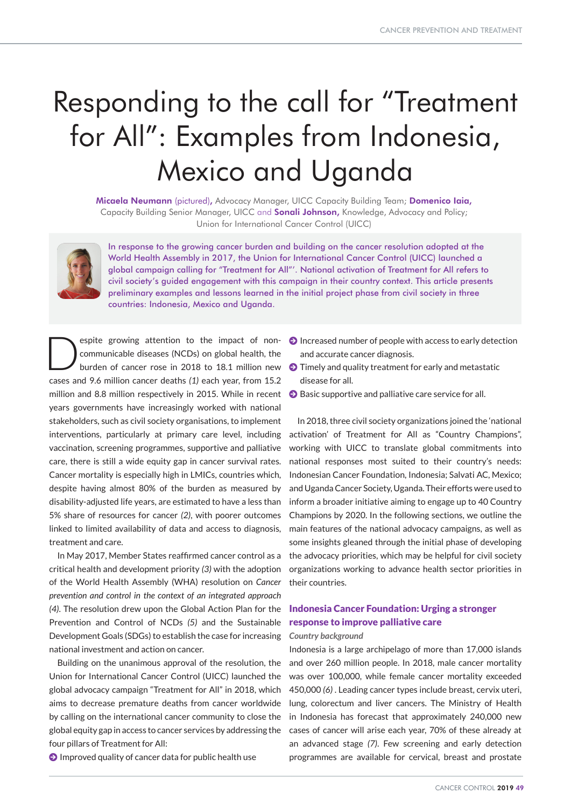# Responding to the call for "Treatment for All": Examples from Indonesia, Mexico and Uganda

Micaela Neumann (pictured), Advocacy Manager, UICC Capacity Building Team; Domenico Iaia, Capacity Building Senior Manager, UICC and **Sonali Johnson,** Knowledge, Advocacy and Policy; Union for International Cancer Control (UICC)



In response to the growing cancer burden and building on the cancer resolution adopted at the World Health Assembly in 2017, the Union for International Cancer Control (UICC) launched a global campaign calling for "Treatment for All"'. National activation of Treatment for All refers to civil society's guided engagement with this campaign in their country context. This article presents preliminary examples and lessons learned in the initial project phase from civil society in three countries: Indonesia, Mexico and Uganda.

espite growing attention to the impact of noncommunicable diseases (NCDs) on global health, the burden of cancer rose in 2018 to 18.1 million new cases and 9.6 million cancer deaths *(1)* each year, from 15.2 million and 8.8 million respectively in 2015. While in recent years governments have increasingly worked with national stakeholders, such as civil society organisations, to implement interventions, particularly at primary care level, including vaccination, screening programmes, supportive and palliative care, there is still a wide equity gap in cancer survival rates. Cancer mortality is especially high in LMICs, countries which, despite having almost 80% of the burden as measured by disability-adjusted life years, are estimated to have a less than 5% share of resources for cancer *(2)*, with poorer outcomes linked to limited availability of data and access to diagnosis, treatment and care.

In May 2017, Member States reaffirmed cancer control as a critical health and development priority *(3)* with the adoption of the World Health Assembly (WHA) resolution on *Cancer prevention and control in the context of an integrated approach (4)*. The resolution drew upon the Global Action Plan for the Prevention and Control of NCDs *(5)* and the Sustainable Development Goals (SDGs) to establish the case for increasing national investment and action on cancer.

Building on the unanimous approval of the resolution, the Union for International Cancer Control (UICC) launched the global advocacy campaign "Treatment for All" in 2018, which aims to decrease premature deaths from cancer worldwide by calling on the international cancer community to close the global equity gap in access to cancer services by addressing the four pillars of Treatment for All:

 $\Theta$  Improved quality of cancer data for public health use

- $\bullet$  Increased number of people with access to early detection and accurate cancer diagnosis.
- $\bigodot$  Timely and quality treatment for early and metastatic disease for all.
- $\Theta$  Basic supportive and palliative care service for all.

In 2018, three civil society organizations joined the 'national activation' of Treatment for All as "Country Champions", working with UICC to translate global commitments into national responses most suited to their country's needs: Indonesian Cancer Foundation, Indonesia; Salvati AC, Mexico; and Uganda Cancer Society, Uganda. Their efforts were used to inform a broader initiative aiming to engage up to 40 Country Champions by 2020. In the following sections, we outline the main features of the national advocacy campaigns, as well as some insights gleaned through the initial phase of developing the advocacy priorities, which may be helpful for civil society organizations working to advance health sector priorities in their countries.

## Indonesia Cancer Foundation: Urging a stronger response to improve palliative care *Country background*

Indonesia is a large archipelago of more than 17,000 islands and over 260 million people. In 2018, male cancer mortality was over 100,000, while female cancer mortality exceeded 450,000 *(6)* . Leading cancer types include breast, cervix uteri, lung, colorectum and liver cancers. The Ministry of Health in Indonesia has forecast that approximately 240,000 new cases of cancer will arise each year, 70% of these already at an advanced stage *(7)*. Few screening and early detection programmes are available for cervical, breast and prostate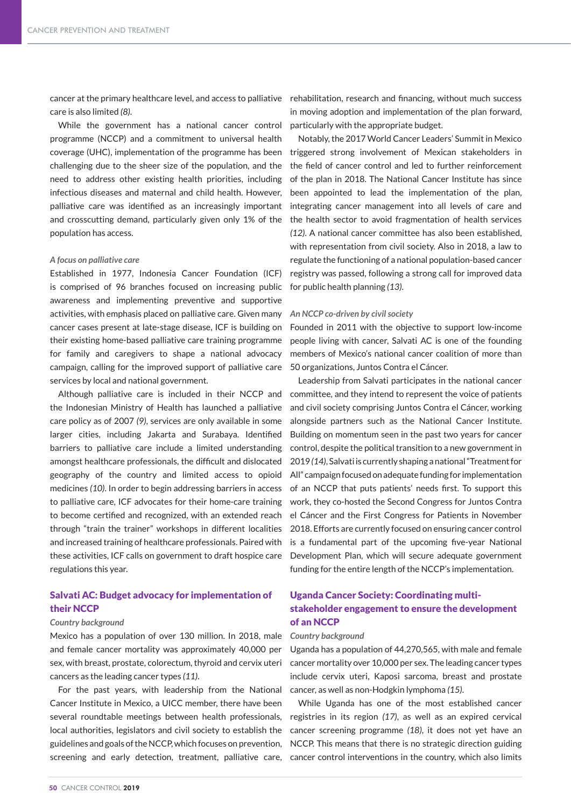cancer at the primary healthcare level, and access to palliative care is also limited *(8)*.

While the government has a national cancer control programme (NCCP) and a commitment to universal health coverage (UHC), implementation of the programme has been challenging due to the sheer size of the population, and the need to address other existing health priorities, including infectious diseases and maternal and child health. However, palliative care was identified as an increasingly important and crosscutting demand, particularly given only 1% of the population has access.

#### *A focus on palliative care*

Established in 1977, Indonesia Cancer Foundation (ICF) is comprised of 96 branches focused on increasing public awareness and implementing preventive and supportive activities, with emphasis placed on palliative care. Given many cancer cases present at late-stage disease, ICF is building on their existing home-based palliative care training programme for family and caregivers to shape a national advocacy campaign, calling for the improved support of palliative care services by local and national government.

Although palliative care is included in their NCCP and the Indonesian Ministry of Health has launched a palliative care policy as of 2007 *(9)*, services are only available in some larger cities, including Jakarta and Surabaya. Identified barriers to palliative care include a limited understanding amongst healthcare professionals, the difficult and dislocated geography of the country and limited access to opioid medicines *(10)*. In order to begin addressing barriers in access to palliative care, ICF advocates for their home-care training to become certified and recognized, with an extended reach through "train the trainer" workshops in different localities and increased training of healthcare professionals. Paired with these activities, ICF calls on government to draft hospice care regulations this year.

### Salvati AC: Budget advocacy for implementation of their NCCP

#### *Country background*

Mexico has a population of over 130 million. In 2018, male and female cancer mortality was approximately 40,000 per sex, with breast, prostate, colorectum, thyroid and cervix uteri cancers as the leading cancer types *(11)*.

For the past years, with leadership from the National Cancer Institute in Mexico, a UICC member, there have been several roundtable meetings between health professionals, local authorities, legislators and civil society to establish the guidelines and goals of the NCCP, which focuses on prevention,

rehabilitation, research and financing, without much success in moving adoption and implementation of the plan forward, particularly with the appropriate budget.

Notably, the 2017 World Cancer Leaders' Summit in Mexico triggered strong involvement of Mexican stakeholders in the field of cancer control and led to further reinforcement of the plan in 2018. The National Cancer Institute has since been appointed to lead the implementation of the plan, integrating cancer management into all levels of care and the health sector to avoid fragmentation of health services *(12)*. A national cancer committee has also been established, with representation from civil society. Also in 2018, a law to regulate the functioning of a national population-based cancer registry was passed, following a strong call for improved data for public health planning *(13)*.

#### *An NCCP co-driven by civil society*

Founded in 2011 with the objective to support low-income people living with cancer, Salvati AC is one of the founding members of Mexico's national cancer coalition of more than 50 organizations, Juntos Contra el Cáncer.

Leadership from Salvati participates in the national cancer committee, and they intend to represent the voice of patients and civil society comprising Juntos Contra el Cáncer, working alongside partners such as the National Cancer Institute. Building on momentum seen in the past two years for cancer control, despite the political transition to a new government in 2019 *(14)*, Salvati is currently shaping a national "Treatment for All" campaign focused on adequate funding for implementation of an NCCP that puts patients' needs first. To support this work, they co-hosted the Second Congress for Juntos Contra el Cáncer and the First Congress for Patients in November 2018. Efforts are currently focused on ensuring cancer control is a fundamental part of the upcoming five-year National Development Plan, which will secure adequate government funding for the entire length of the NCCP's implementation.

## Uganda Cancer Society: Coordinating multistakeholder engagement to ensure the development of an NCCP

#### *Country background*

Uganda has a population of 44,270,565, with male and female cancer mortality over 10,000 per sex. The leading cancer types include cervix uteri, Kaposi sarcoma, breast and prostate cancer, as well as non-Hodgkin lymphoma *(15)*.

screening and early detection, treatment, palliative care, cancer control interventions in the country, which also limits While Uganda has one of the most established cancer registries in its region *(17)*, as well as an expired cervical cancer screening programme *(18)*, it does not yet have an NCCP. This means that there is no strategic direction guiding